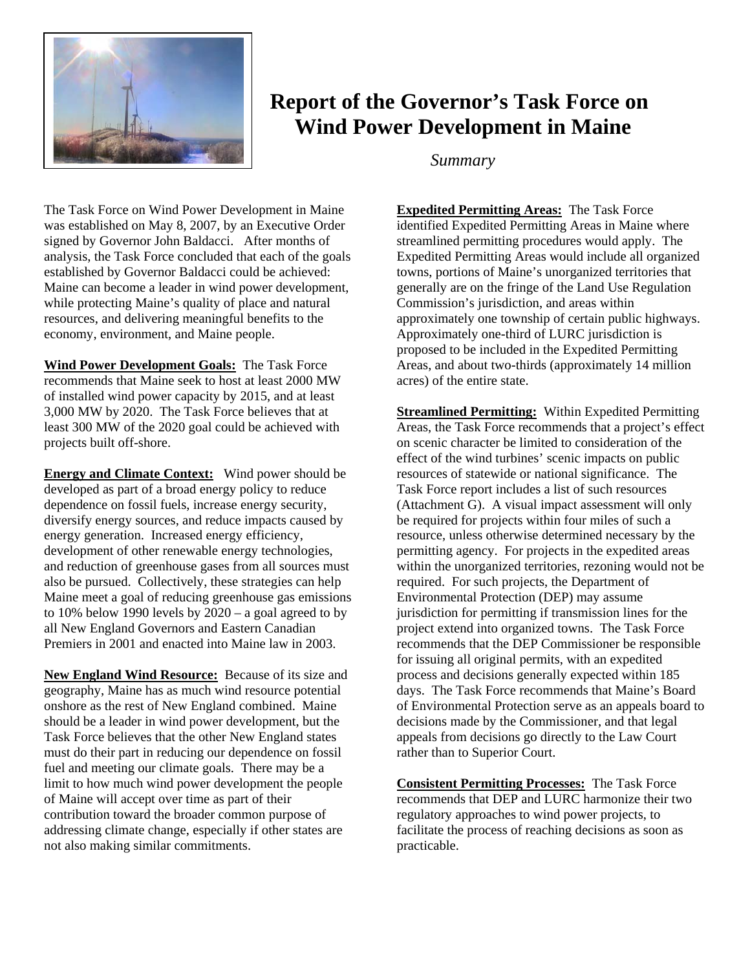

## **Report of the Governor's Task Force on Wind Power Development in Maine**

*Summary* 

The Task Force on Wind Power Development in Maine was established on May 8, 2007, by an Executive Order signed by Governor John Baldacci. After months of analysis, the Task Force concluded that each of the goals established by Governor Baldacci could be achieved: Maine can become a leader in wind power development, while protecting Maine's quality of place and natural resources, and delivering meaningful benefits to the economy, environment, and Maine people.

**Wind Power Development Goals:** The Task Force recommends that Maine seek to host at least 2000 MW of installed wind power capacity by 2015, and at least 3,000 MW by 2020. The Task Force believes that at least 300 MW of the 2020 goal could be achieved with projects built off-shore.

**Energy and Climate Context:** Wind power should be developed as part of a broad energy policy to reduce dependence on fossil fuels, increase energy security, diversify energy sources, and reduce impacts caused by energy generation. Increased energy efficiency, development of other renewable energy technologies, and reduction of greenhouse gases from all sources must also be pursued. Collectively, these strategies can help Maine meet a goal of reducing greenhouse gas emissions to 10% below 1990 levels by 2020 – a goal agreed to by all New England Governors and Eastern Canadian Premiers in 2001 and enacted into Maine law in 2003.

**New England Wind Resource:** Because of its size and geography, Maine has as much wind resource potential onshore as the rest of New England combined. Maine should be a leader in wind power development, but the Task Force believes that the other New England states must do their part in reducing our dependence on fossil fuel and meeting our climate goals. There may be a limit to how much wind power development the people of Maine will accept over time as part of their contribution toward the broader common purpose of addressing climate change, especially if other states are not also making similar commitments.

**Expedited Permitting Areas:** The Task Force identified Expedited Permitting Areas in Maine where streamlined permitting procedures would apply. The Expedited Permitting Areas would include all organized towns, portions of Maine's unorganized territories that generally are on the fringe of the Land Use Regulation Commission's jurisdiction, and areas within approximately one township of certain public highways. Approximately one-third of LURC jurisdiction is proposed to be included in the Expedited Permitting Areas, and about two-thirds (approximately 14 million acres) of the entire state.

**Streamlined Permitting:** Within Expedited Permitting Areas, the Task Force recommends that a project's effect on scenic character be limited to consideration of the effect of the wind turbines' scenic impacts on public resources of statewide or national significance. The Task Force report includes a list of such resources (Attachment G). A visual impact assessment will only be required for projects within four miles of such a resource, unless otherwise determined necessary by the permitting agency. For projects in the expedited areas within the unorganized territories, rezoning would not be required. For such projects, the Department of Environmental Protection (DEP) may assume jurisdiction for permitting if transmission lines for the project extend into organized towns. The Task Force recommends that the DEP Commissioner be responsible for issuing all original permits, with an expedited process and decisions generally expected within 185 days. The Task Force recommends that Maine's Board of Environmental Protection serve as an appeals board to decisions made by the Commissioner, and that legal appeals from decisions go directly to the Law Court rather than to Superior Court.

**Consistent Permitting Processes:** The Task Force recommends that DEP and LURC harmonize their two regulatory approaches to wind power projects, to facilitate the process of reaching decisions as soon as practicable.